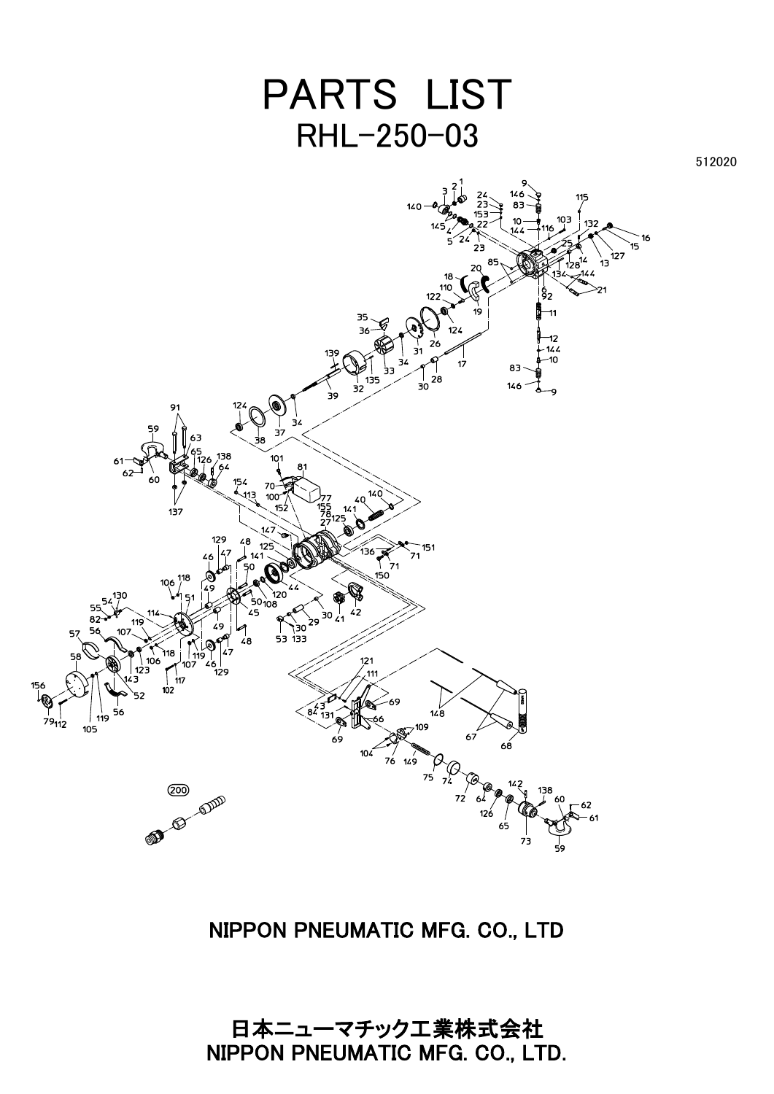## PARTS LIST RHL-250-03

512020



## NIPPON PNEUMATIC MFG. CO., LTD

日本ニューマチック工業株式会社 NIPPON PNEUMATIC MFG. CO., LTD.